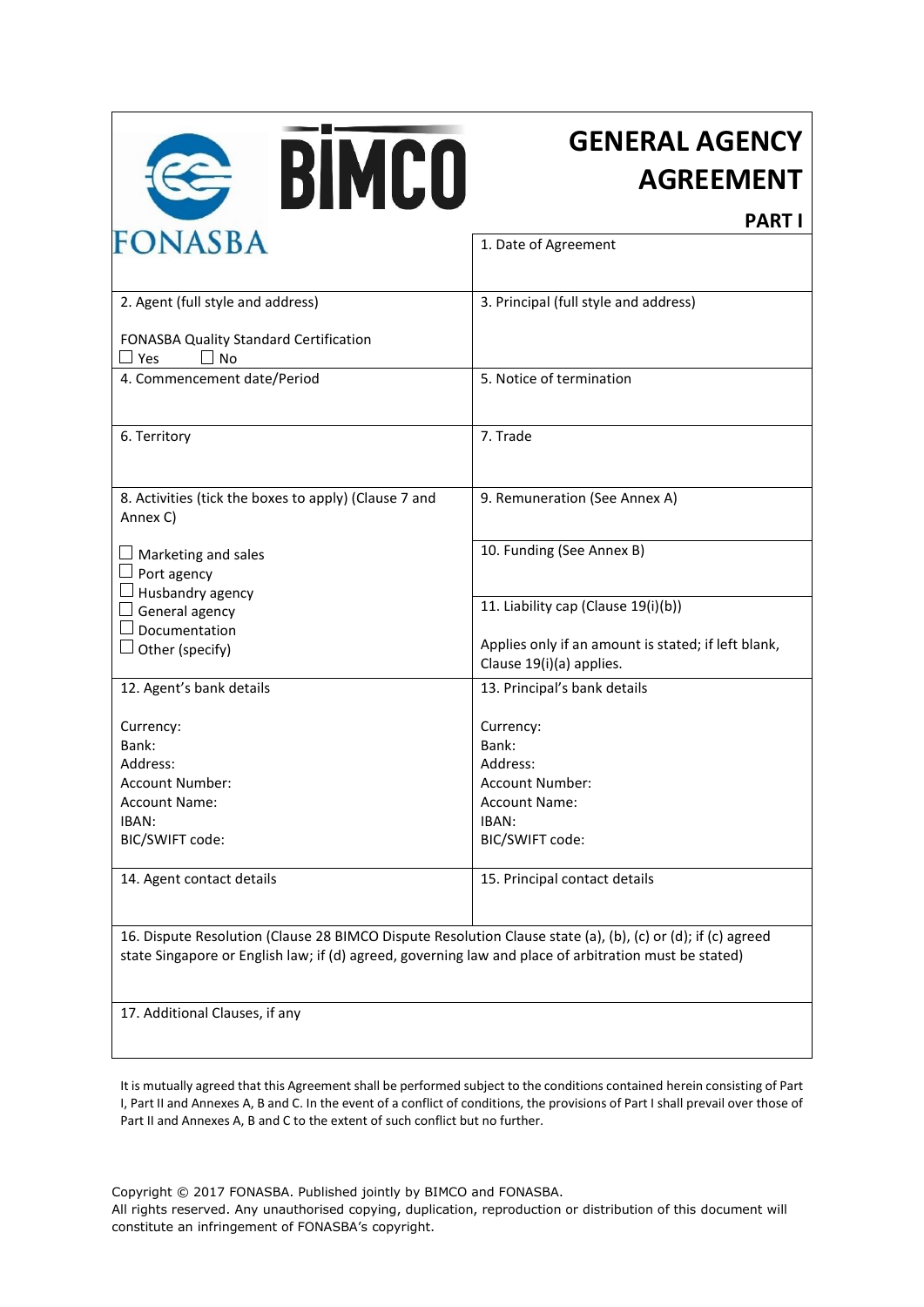

# **GENERAL AGENCY AGREEMENT**

**PART I**

| FUNASBA                                                                                                                                                                                                              | 1. Date of Agreement                                                                       |  |
|----------------------------------------------------------------------------------------------------------------------------------------------------------------------------------------------------------------------|--------------------------------------------------------------------------------------------|--|
| 2. Agent (full style and address)                                                                                                                                                                                    | 3. Principal (full style and address)                                                      |  |
| FONASBA Quality Standard Certification<br>$\square$ No<br>$\square$ Yes                                                                                                                                              |                                                                                            |  |
| 4. Commencement date/Period                                                                                                                                                                                          | 5. Notice of termination                                                                   |  |
| 6. Territory                                                                                                                                                                                                         | 7. Trade                                                                                   |  |
| 8. Activities (tick the boxes to apply) (Clause 7 and<br>Annex C)                                                                                                                                                    | 9. Remuneration (See Annex A)                                                              |  |
| $\Box$ Marketing and sales<br>$\Box$ Port agency<br>$\Box$ Husbandry agency                                                                                                                                          | 10. Funding (See Annex B)                                                                  |  |
| $\Box$ General agency<br>$\Box$ Documentation<br>$\Box$ Other (specify)                                                                                                                                              | 11. Liability cap (Clause 19(i)(b))<br>Applies only if an amount is stated; if left blank, |  |
|                                                                                                                                                                                                                      | Clause 19(i)(a) applies.                                                                   |  |
| 12. Agent's bank details                                                                                                                                                                                             | 13. Principal's bank details                                                               |  |
| Currency:<br>Bank:                                                                                                                                                                                                   | Currency:<br>Bank:                                                                         |  |
| Address:                                                                                                                                                                                                             | Address:                                                                                   |  |
| Account Number:                                                                                                                                                                                                      | Account Number:                                                                            |  |
| <b>Account Name:</b>                                                                                                                                                                                                 | <b>Account Name:</b>                                                                       |  |
| IBAN:                                                                                                                                                                                                                | IBAN:                                                                                      |  |
| BIC/SWIFT code:                                                                                                                                                                                                      | BIC/SWIFT code:                                                                            |  |
| 14. Agent contact details                                                                                                                                                                                            | 15. Principal contact details                                                              |  |
| 16. Dispute Resolution (Clause 28 BIMCO Dispute Resolution Clause state (a), (b), (c) or (d); if (c) agreed<br>state Singapore or English law; if (d) agreed, governing law and place of arbitration must be stated) |                                                                                            |  |
| 17. Additional Clauses, if any                                                                                                                                                                                       |                                                                                            |  |

It is mutually agreed that this Agreement shall be performed subject to the conditions contained herein consisting of Part I, Part II and Annexes A, B and C. In the event of a conflict of conditions, the provisions of Part I shall prevail over those of Part II and Annexes A, B and C to the extent of such conflict but no further.

Copyright © 2017 FONASBA. Published jointly by BIMCO and FONASBA.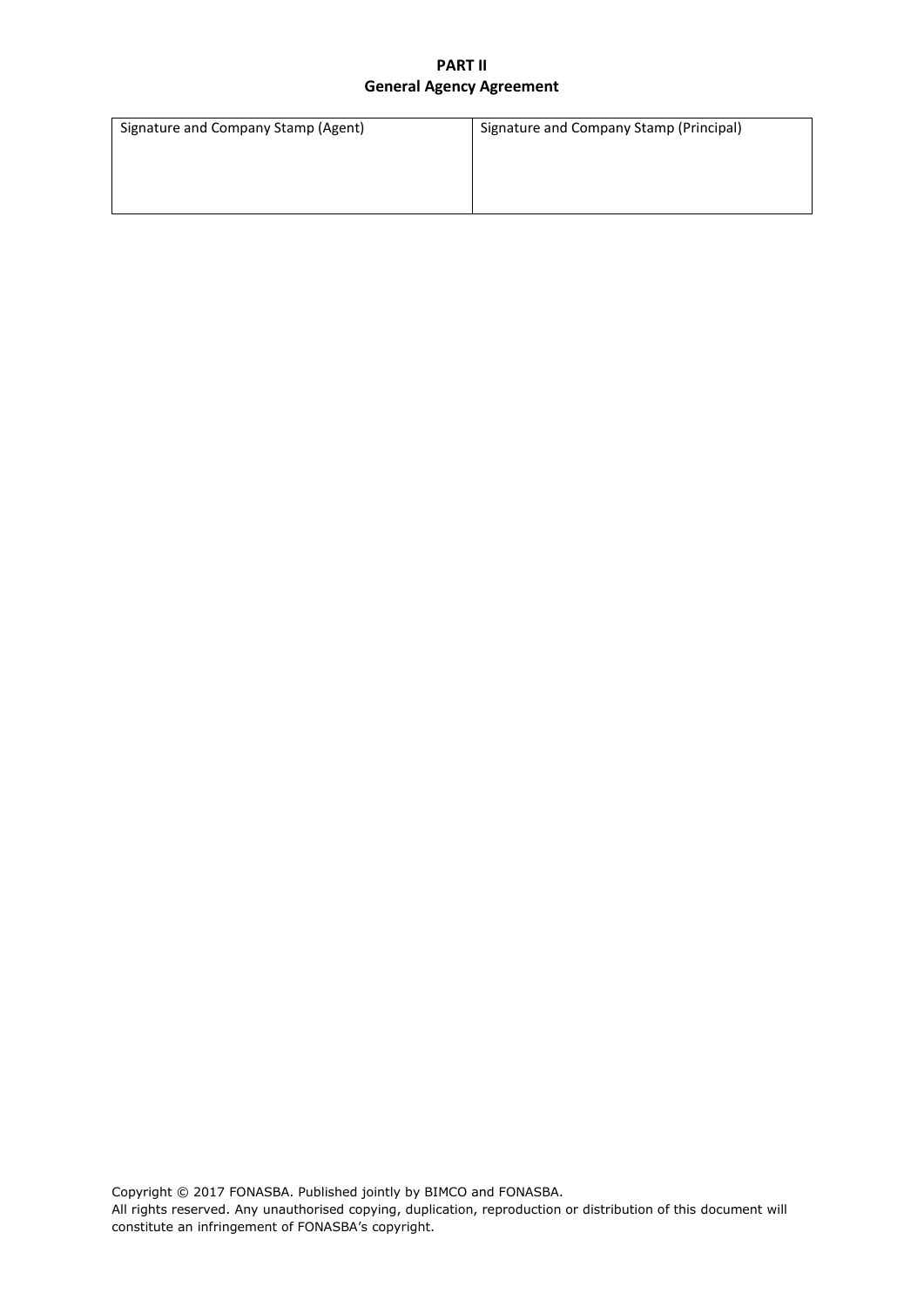| Signature and Company Stamp (Agent) | Signature and Company Stamp (Principal) |
|-------------------------------------|-----------------------------------------|
|                                     |                                         |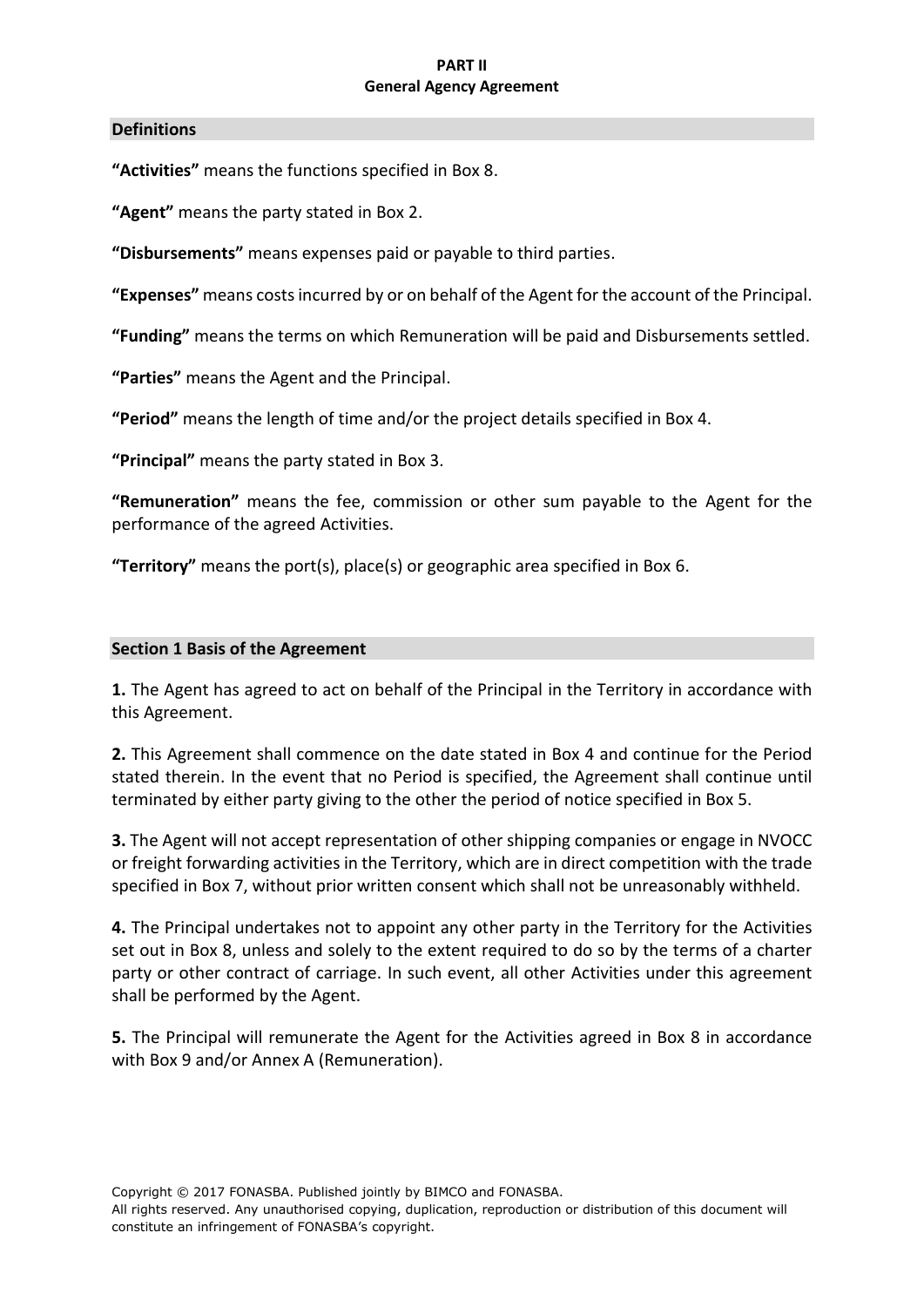#### **Definitions**

**"Activities"** means the functions specified in Box 8.

**"Agent"** means the party stated in Box 2.

**"Disbursements"** means expenses paid or payable to third parties.

**"Expenses"** means costs incurred by or on behalf of the Agent for the account of the Principal.

**"Funding"** means the terms on which Remuneration will be paid and Disbursements settled.

**"Parties"** means the Agent and the Principal.

**"Period"** means the length of time and/or the project details specified in Box 4.

**"Principal"** means the party stated in Box 3.

**"Remuneration"** means the fee, commission or other sum payable to the Agent for the performance of the agreed Activities.

**"Territory"** means the port(s), place(s) or geographic area specified in Box 6.

#### **Section 1 Basis of the Agreement**

**1.** The Agent has agreed to act on behalf of the Principal in the Territory in accordance with this Agreement.

**2.** This Agreement shall commence on the date stated in Box 4 and continue for the Period stated therein. In the event that no Period is specified, the Agreement shall continue until terminated by either party giving to the other the period of notice specified in Box 5.

**3.** The Agent will not accept representation of other shipping companies or engage in NVOCC or freight forwarding activities in the Territory, which are in direct competition with the trade specified in Box 7, without prior written consent which shall not be unreasonably withheld.

**4.** The Principal undertakes not to appoint any other party in the Territory for the Activities set out in Box 8, unless and solely to the extent required to do so by the terms of a charter party or other contract of carriage. In such event, all other Activities under this agreement shall be performed by the Agent.

**5.** The Principal will remunerate the Agent for the Activities agreed in Box 8 in accordance with Box 9 and/or Annex A (Remuneration).

Copyright © 2017 FONASBA. Published jointly by BIMCO and FONASBA.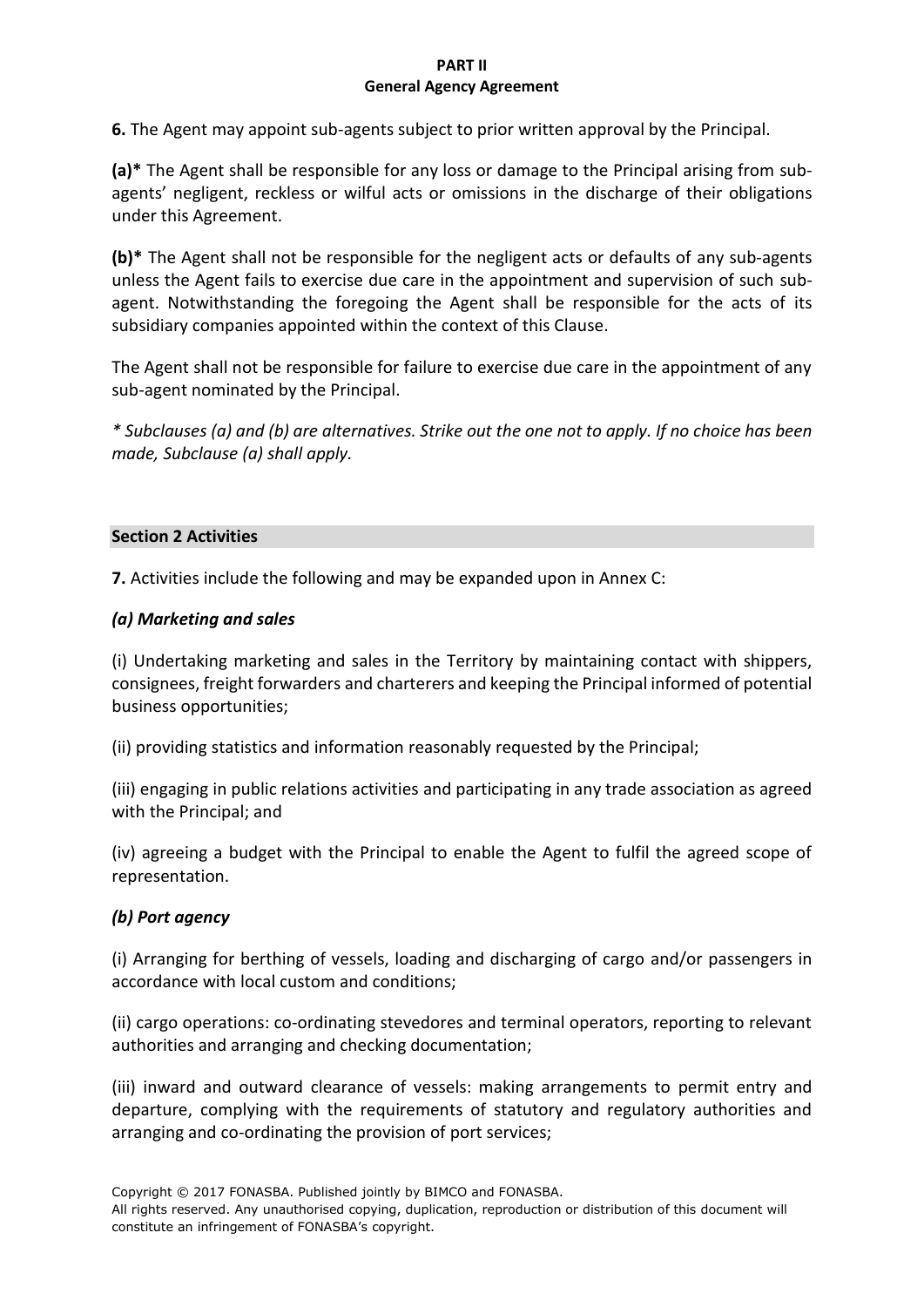**6.** The Agent may appoint sub-agents subject to prior written approval by the Principal.

**(a)\*** The Agent shall be responsible for any loss or damage to the Principal arising from subagents' negligent, reckless or wilful acts or omissions in the discharge of their obligations under this Agreement.

**(b)\*** The Agent shall not be responsible for the negligent acts or defaults of any sub-agents unless the Agent fails to exercise due care in the appointment and supervision of such subagent. Notwithstanding the foregoing the Agent shall be responsible for the acts of its subsidiary companies appointed within the context of this Clause.

The Agent shall not be responsible for failure to exercise due care in the appointment of any sub-agent nominated by the Principal.

*\* Subclauses (a) and (b) are alternatives. Strike out the one not to apply. If no choice has been made, Subclause (a) shall apply.*

#### **Section 2 Activities**

**7.** Activities include the following and may be expanded upon in Annex C:

## *(a) Marketing and sales*

(i) Undertaking marketing and sales in the Territory by maintaining contact with shippers, consignees, freight forwarders and charterers and keeping the Principal informed of potential business opportunities;

(ii) providing statistics and information reasonably requested by the Principal;

(iii) engaging in public relations activities and participating in any trade association as agreed with the Principal; and

(iv) agreeing a budget with the Principal to enable the Agent to fulfil the agreed scope of representation.

## *(b) Port agency*

(i) Arranging for berthing of vessels, loading and discharging of cargo and/or passengers in accordance with local custom and conditions;

(ii) cargo operations: co-ordinating stevedores and terminal operators, reporting to relevant authorities and arranging and checking documentation;

(iii) inward and outward clearance of vessels: making arrangements to permit entry and departure, complying with the requirements of statutory and regulatory authorities and arranging and co-ordinating the provision of port services;

Copyright © 2017 FONASBA. Published jointly by BIMCO and FONASBA.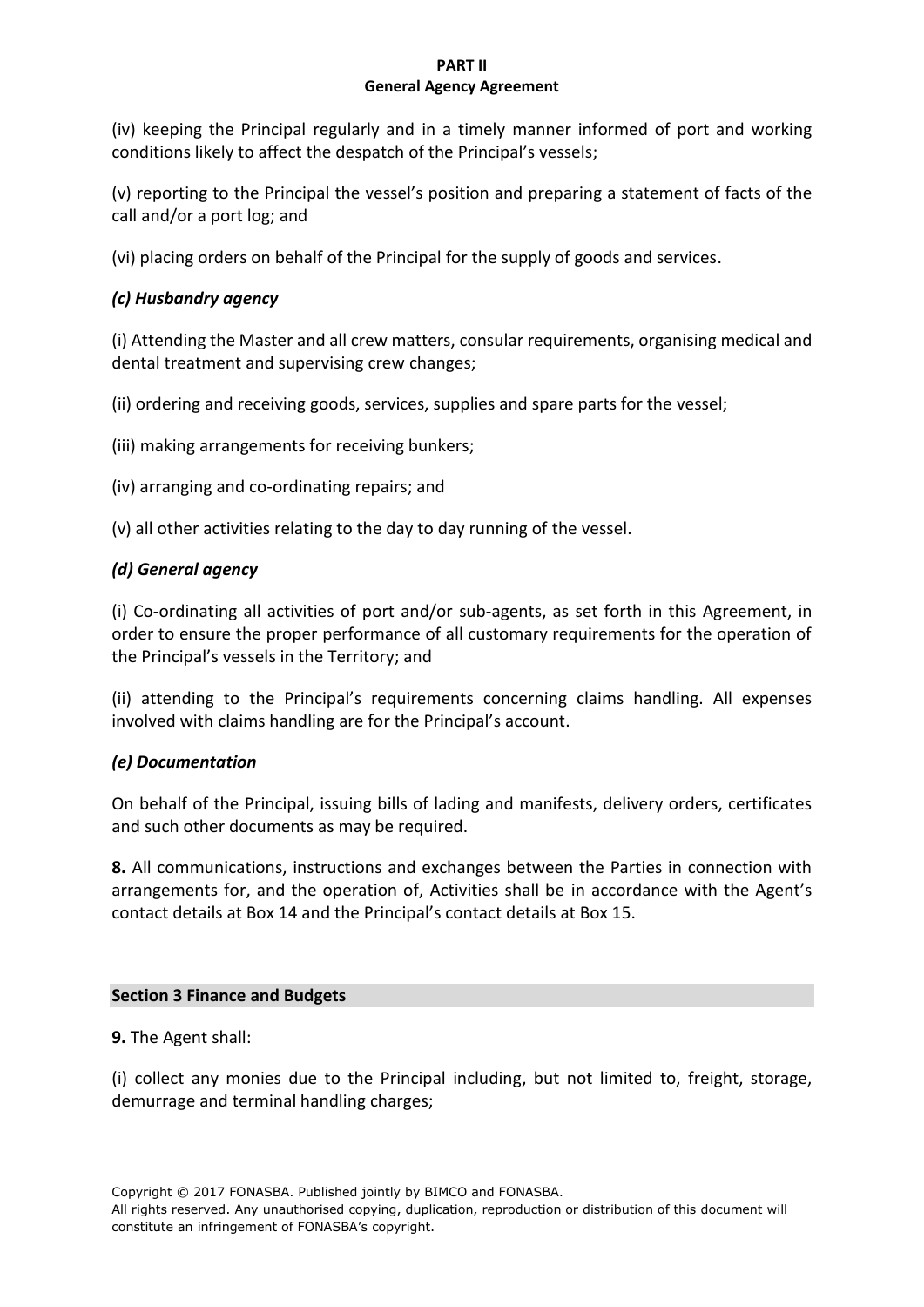(iv) keeping the Principal regularly and in a timely manner informed of port and working conditions likely to affect the despatch of the Principal's vessels;

(v) reporting to the Principal the vessel's position and preparing a statement of facts of the call and/or a port log; and

(vi) placing orders on behalf of the Principal for the supply of goods and services.

# *(c) Husbandry agency*

(i) Attending the Master and all crew matters, consular requirements, organising medical and dental treatment and supervising crew changes;

(ii) ordering and receiving goods, services, supplies and spare parts for the vessel;

(iii) making arrangements for receiving bunkers;

(iv) arranging and co-ordinating repairs; and

(v) all other activities relating to the day to day running of the vessel.

# *(d) General agency*

(i) Co-ordinating all activities of port and/or sub-agents, as set forth in this Agreement, in order to ensure the proper performance of all customary requirements for the operation of the Principal's vessels in the Territory; and

(ii) attending to the Principal's requirements concerning claims handling. All expenses involved with claims handling are for the Principal's account.

# *(e) Documentation*

On behalf of the Principal, issuing bills of lading and manifests, delivery orders, certificates and such other documents as may be required.

**8.** All communications, instructions and exchanges between the Parties in connection with arrangements for, and the operation of, Activities shall be in accordance with the Agent's contact details at Box 14 and the Principal's contact details at Box 15.

## **Section 3 Finance and Budgets**

**9.** The Agent shall:

(i) collect any monies due to the Principal including, but not limited to, freight, storage, demurrage and terminal handling charges;

Copyright © 2017 FONASBA. Published jointly by BIMCO and FONASBA.

All rights reserved. Any unauthorised copying, duplication, reproduction or distribution of this document will constitute an infringement of FONASBA's copyright.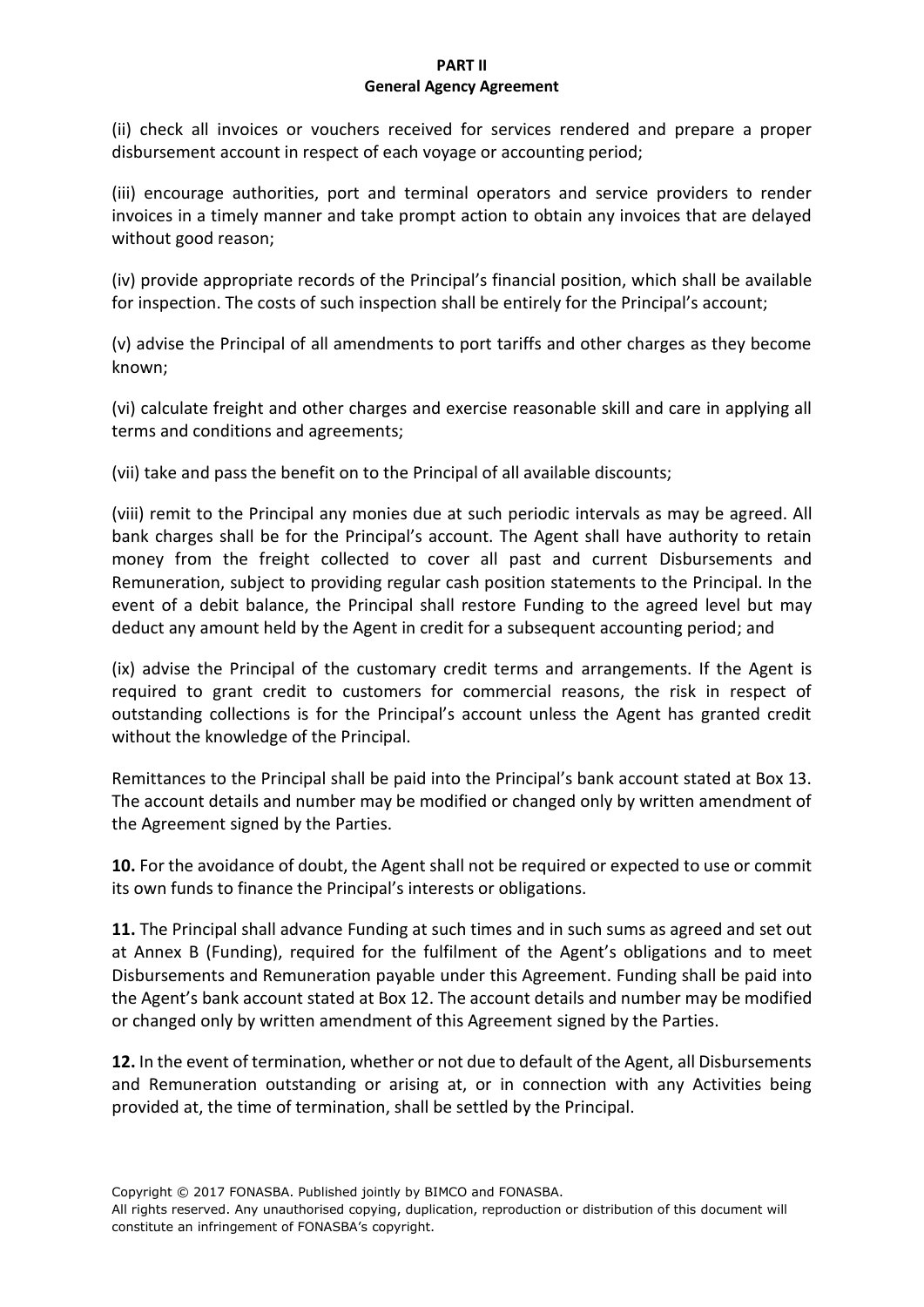(ii) check all invoices or vouchers received for services rendered and prepare a proper disbursement account in respect of each voyage or accounting period;

(iii) encourage authorities, port and terminal operators and service providers to render invoices in a timely manner and take prompt action to obtain any invoices that are delayed without good reason;

(iv) provide appropriate records of the Principal's financial position, which shall be available for inspection. The costs of such inspection shall be entirely for the Principal's account;

(v) advise the Principal of all amendments to port tariffs and other charges as they become known;

(vi) calculate freight and other charges and exercise reasonable skill and care in applying all terms and conditions and agreements;

(vii) take and pass the benefit on to the Principal of all available discounts;

(viii) remit to the Principal any monies due at such periodic intervals as may be agreed. All bank charges shall be for the Principal's account. The Agent shall have authority to retain money from the freight collected to cover all past and current Disbursements and Remuneration, subject to providing regular cash position statements to the Principal. In the event of a debit balance, the Principal shall restore Funding to the agreed level but may deduct any amount held by the Agent in credit for a subsequent accounting period; and

(ix) advise the Principal of the customary credit terms and arrangements. If the Agent is required to grant credit to customers for commercial reasons, the risk in respect of outstanding collections is for the Principal's account unless the Agent has granted credit without the knowledge of the Principal.

Remittances to the Principal shall be paid into the Principal's bank account stated at Box 13. The account details and number may be modified or changed only by written amendment of the Agreement signed by the Parties.

**10.** For the avoidance of doubt, the Agent shall not be required or expected to use or commit its own funds to finance the Principal's interests or obligations.

**11.** The Principal shall advance Funding at such times and in such sums as agreed and set out at Annex B (Funding), required for the fulfilment of the Agent's obligations and to meet Disbursements and Remuneration payable under this Agreement. Funding shall be paid into the Agent's bank account stated at Box 12. The account details and number may be modified or changed only by written amendment of this Agreement signed by the Parties.

**12.** In the event of termination, whether or not due to default of the Agent, all Disbursements and Remuneration outstanding or arising at, or in connection with any Activities being provided at, the time of termination, shall be settled by the Principal.

Copyright © 2017 FONASBA. Published jointly by BIMCO and FONASBA.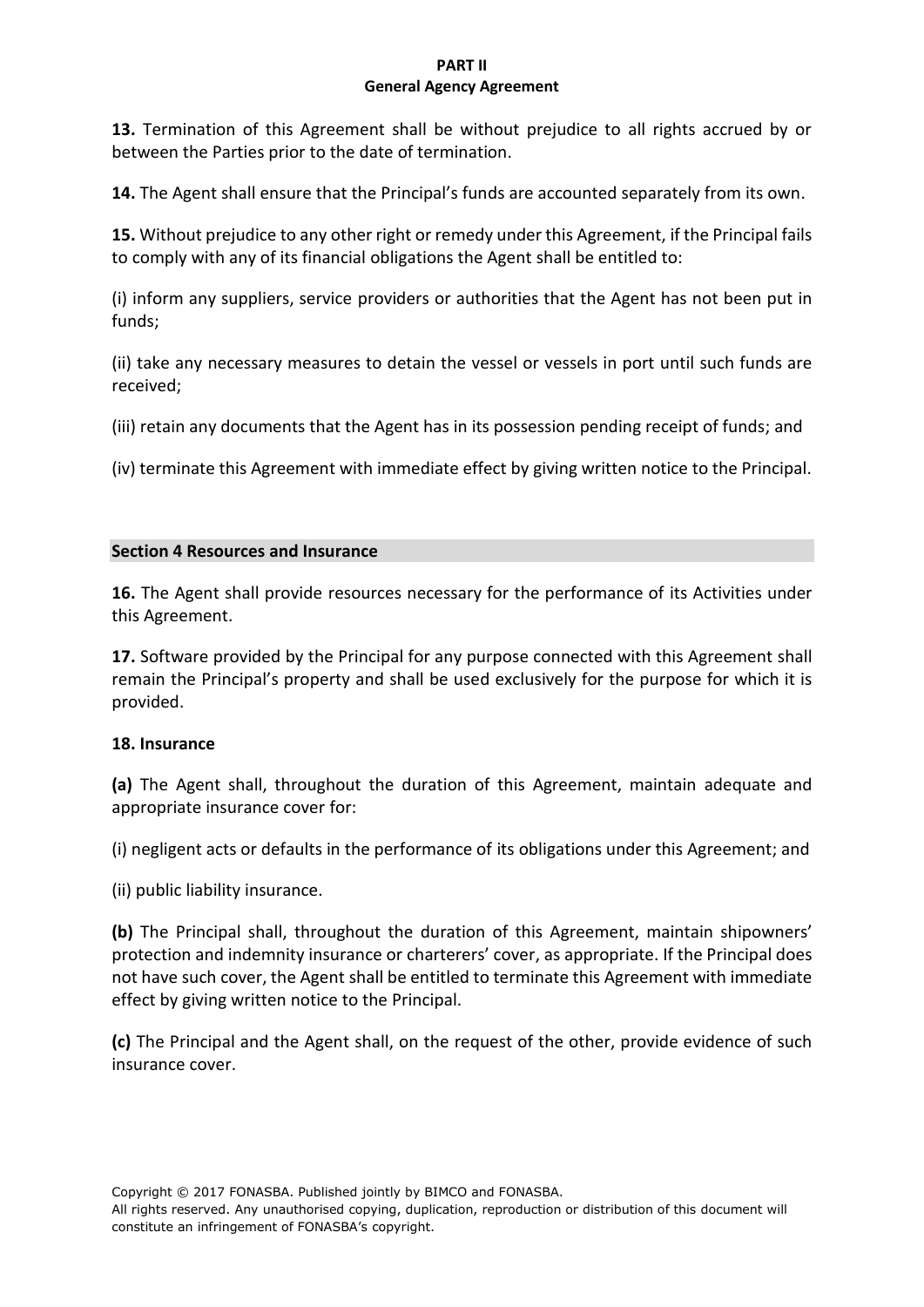**13.** Termination of this Agreement shall be without prejudice to all rights accrued by or between the Parties prior to the date of termination.

**14.** The Agent shall ensure that the Principal's funds are accounted separately from its own.

**15.** Without prejudice to any other right or remedy under this Agreement, if the Principal fails to comply with any of its financial obligations the Agent shall be entitled to:

(i) inform any suppliers, service providers or authorities that the Agent has not been put in funds;

(ii) take any necessary measures to detain the vessel or vessels in port until such funds are received;

(iii) retain any documents that the Agent has in its possession pending receipt of funds; and

(iv) terminate this Agreement with immediate effect by giving written notice to the Principal.

## **Section 4 Resources and Insurance**

**16.** The Agent shall provide resources necessary for the performance of its Activities under this Agreement.

**17.** Software provided by the Principal for any purpose connected with this Agreement shall remain the Principal's property and shall be used exclusively for the purpose for which it is provided.

## **18. Insurance**

**(a)** The Agent shall, throughout the duration of this Agreement, maintain adequate and appropriate insurance cover for:

(i) negligent acts or defaults in the performance of its obligations under this Agreement; and

(ii) public liability insurance.

**(b)** The Principal shall, throughout the duration of this Agreement, maintain shipowners' protection and indemnity insurance or charterers' cover, as appropriate. If the Principal does not have such cover, the Agent shall be entitled to terminate this Agreement with immediate effect by giving written notice to the Principal.

**(c)** The Principal and the Agent shall, on the request of the other, provide evidence of such insurance cover.

Copyright © 2017 FONASBA. Published jointly by BIMCO and FONASBA.

All rights reserved. Any unauthorised copying, duplication, reproduction or distribution of this document will constitute an infringement of FONASBA's copyright.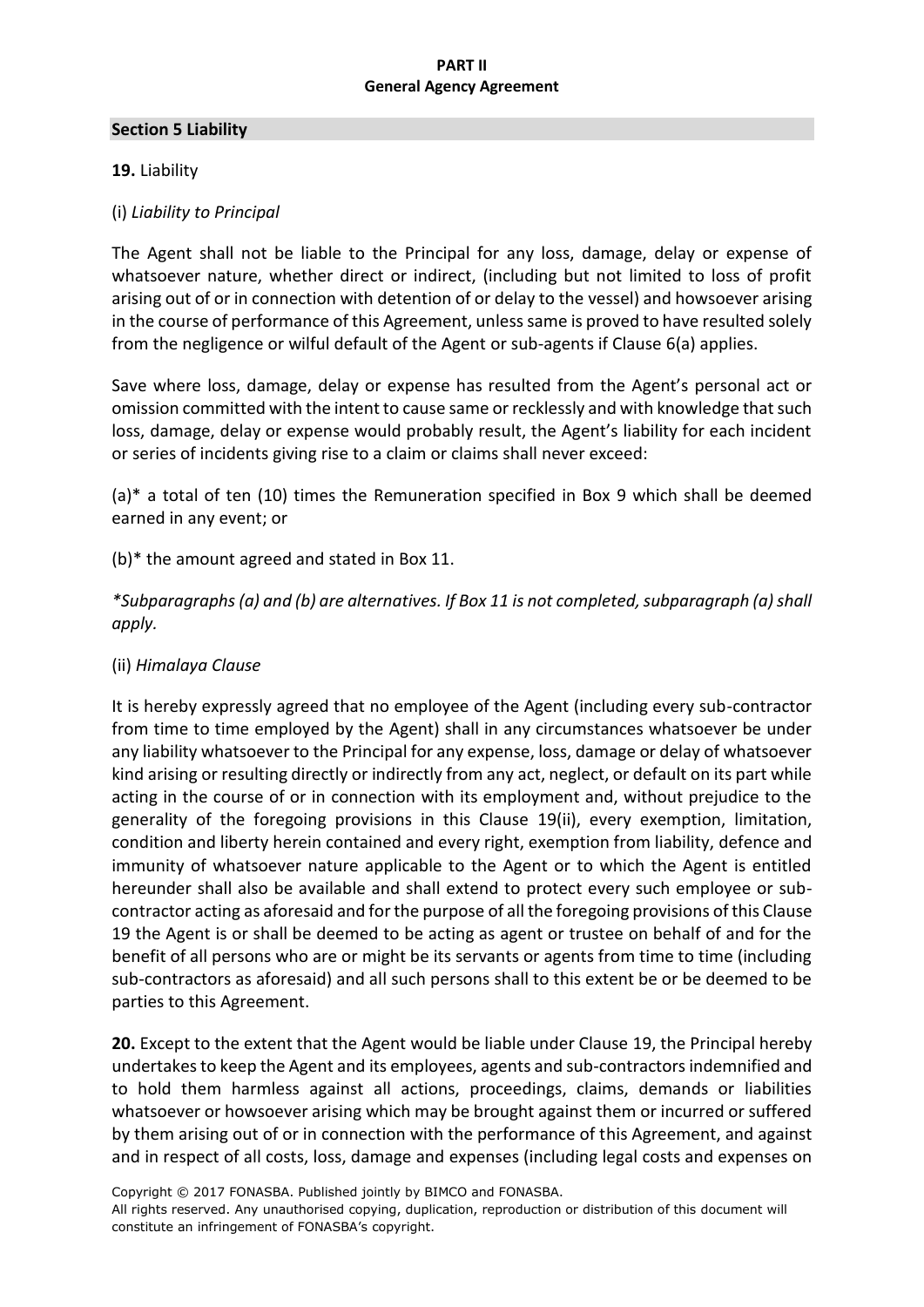#### **Section 5 Liability**

## **19.** Liability

## (i) *Liability to Principal*

The Agent shall not be liable to the Principal for any loss, damage, delay or expense of whatsoever nature, whether direct or indirect, (including but not limited to loss of profit arising out of or in connection with detention of or delay to the vessel) and howsoever arising in the course of performance of this Agreement, unless same is proved to have resulted solely from the negligence or wilful default of the Agent or sub-agents if Clause 6(a) applies.

Save where loss, damage, delay or expense has resulted from the Agent's personal act or omission committed with the intent to cause same or recklessly and with knowledge that such loss, damage, delay or expense would probably result, the Agent's liability for each incident or series of incidents giving rise to a claim or claims shall never exceed:

(a)\* a total of ten (10) times the Remuneration specified in Box 9 which shall be deemed earned in any event; or

(b)\* the amount agreed and stated in Box 11.

*\*Subparagraphs (a) and (b) are alternatives. If Box 11 is not completed, subparagraph (a) shall apply.*

## (ii) *Himalaya Clause*

It is hereby expressly agreed that no employee of the Agent (including every sub-contractor from time to time employed by the Agent) shall in any circumstances whatsoever be under any liability whatsoever to the Principal for any expense, loss, damage or delay of whatsoever kind arising or resulting directly or indirectly from any act, neglect, or default on its part while acting in the course of or in connection with its employment and, without prejudice to the generality of the foregoing provisions in this Clause 19(ii), every exemption, limitation, condition and liberty herein contained and every right, exemption from liability, defence and immunity of whatsoever nature applicable to the Agent or to which the Agent is entitled hereunder shall also be available and shall extend to protect every such employee or subcontractor acting as aforesaid and for the purpose of all the foregoing provisions of this Clause 19 the Agent is or shall be deemed to be acting as agent or trustee on behalf of and for the benefit of all persons who are or might be its servants or agents from time to time (including sub-contractors as aforesaid) and all such persons shall to this extent be or be deemed to be parties to this Agreement.

**20.** Except to the extent that the Agent would be liable under Clause 19, the Principal hereby undertakes to keep the Agent and its employees, agents and sub-contractors indemnified and to hold them harmless against all actions, proceedings, claims, demands or liabilities whatsoever or howsoever arising which may be brought against them or incurred or suffered by them arising out of or in connection with the performance of this Agreement, and against and in respect of all costs, loss, damage and expenses (including legal costs and expenses on

Copyright © 2017 FONASBA. Published jointly by BIMCO and FONASBA.

All rights reserved. Any unauthorised copying, duplication, reproduction or distribution of this document will constitute an infringement of FONASBA's copyright.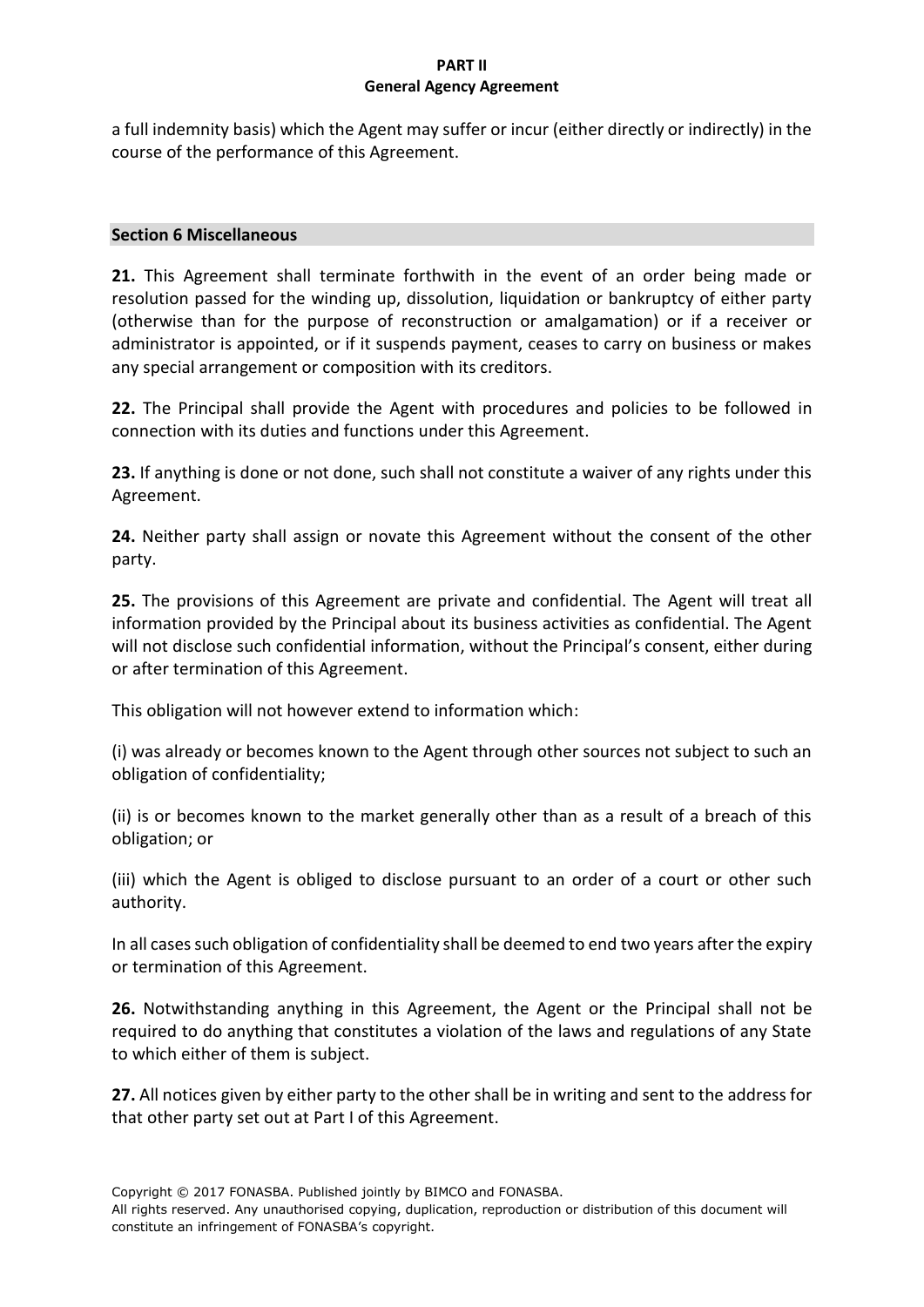a full indemnity basis) which the Agent may suffer or incur (either directly or indirectly) in the course of the performance of this Agreement.

## **Section 6 Miscellaneous**

**21.** This Agreement shall terminate forthwith in the event of an order being made or resolution passed for the winding up, dissolution, liquidation or bankruptcy of either party (otherwise than for the purpose of reconstruction or amalgamation) or if a receiver or administrator is appointed, or if it suspends payment, ceases to carry on business or makes any special arrangement or composition with its creditors.

**22.** The Principal shall provide the Agent with procedures and policies to be followed in connection with its duties and functions under this Agreement.

**23.** If anything is done or not done, such shall not constitute a waiver of any rights under this Agreement.

**24.** Neither party shall assign or novate this Agreement without the consent of the other party.

**25.** The provisions of this Agreement are private and confidential. The Agent will treat all information provided by the Principal about its business activities as confidential. The Agent will not disclose such confidential information, without the Principal's consent, either during or after termination of this Agreement.

This obligation will not however extend to information which:

(i) was already or becomes known to the Agent through other sources not subject to such an obligation of confidentiality;

(ii) is or becomes known to the market generally other than as a result of a breach of this obligation; or

(iii) which the Agent is obliged to disclose pursuant to an order of a court or other such authority.

In all cases such obligation of confidentiality shall be deemed to end two years after the expiry or termination of this Agreement.

**26.** Notwithstanding anything in this Agreement, the Agent or the Principal shall not be required to do anything that constitutes a violation of the laws and regulations of any State to which either of them is subject.

**27.** All notices given by either party to the other shall be in writing and sent to the address for that other party set out at Part I of this Agreement.

Copyright © 2017 FONASBA. Published jointly by BIMCO and FONASBA.

All rights reserved. Any unauthorised copying, duplication, reproduction or distribution of this document will constitute an infringement of FONASBA's copyright.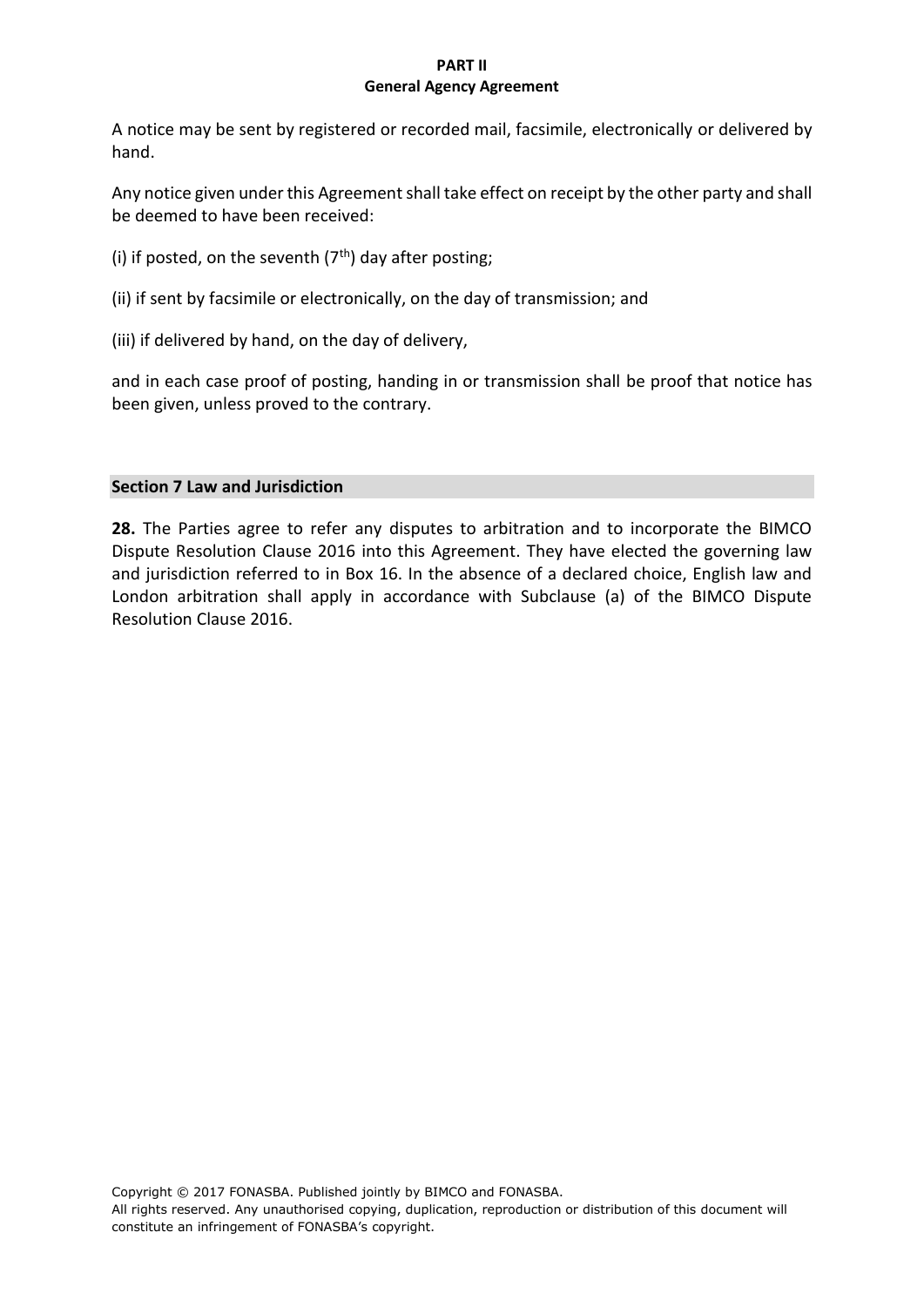A notice may be sent by registered or recorded mail, facsimile, electronically or delivered by hand.

Any notice given under this Agreement shall take effect on receipt by the other party and shall be deemed to have been received:

- (i) if posted, on the seventh  $(7<sup>th</sup>)$  day after posting;
- (ii) if sent by facsimile or electronically, on the day of transmission; and
- (iii) if delivered by hand, on the day of delivery,

and in each case proof of posting, handing in or transmission shall be proof that notice has been given, unless proved to the contrary.

## **Section 7 Law and Jurisdiction**

**28.** The Parties agree to refer any disputes to arbitration and to incorporate the BIMCO Dispute Resolution Clause 2016 into this Agreement. They have elected the governing law and jurisdiction referred to in Box 16. In the absence of a declared choice, English law and London arbitration shall apply in accordance with Subclause (a) of the BIMCO Dispute Resolution Clause 2016.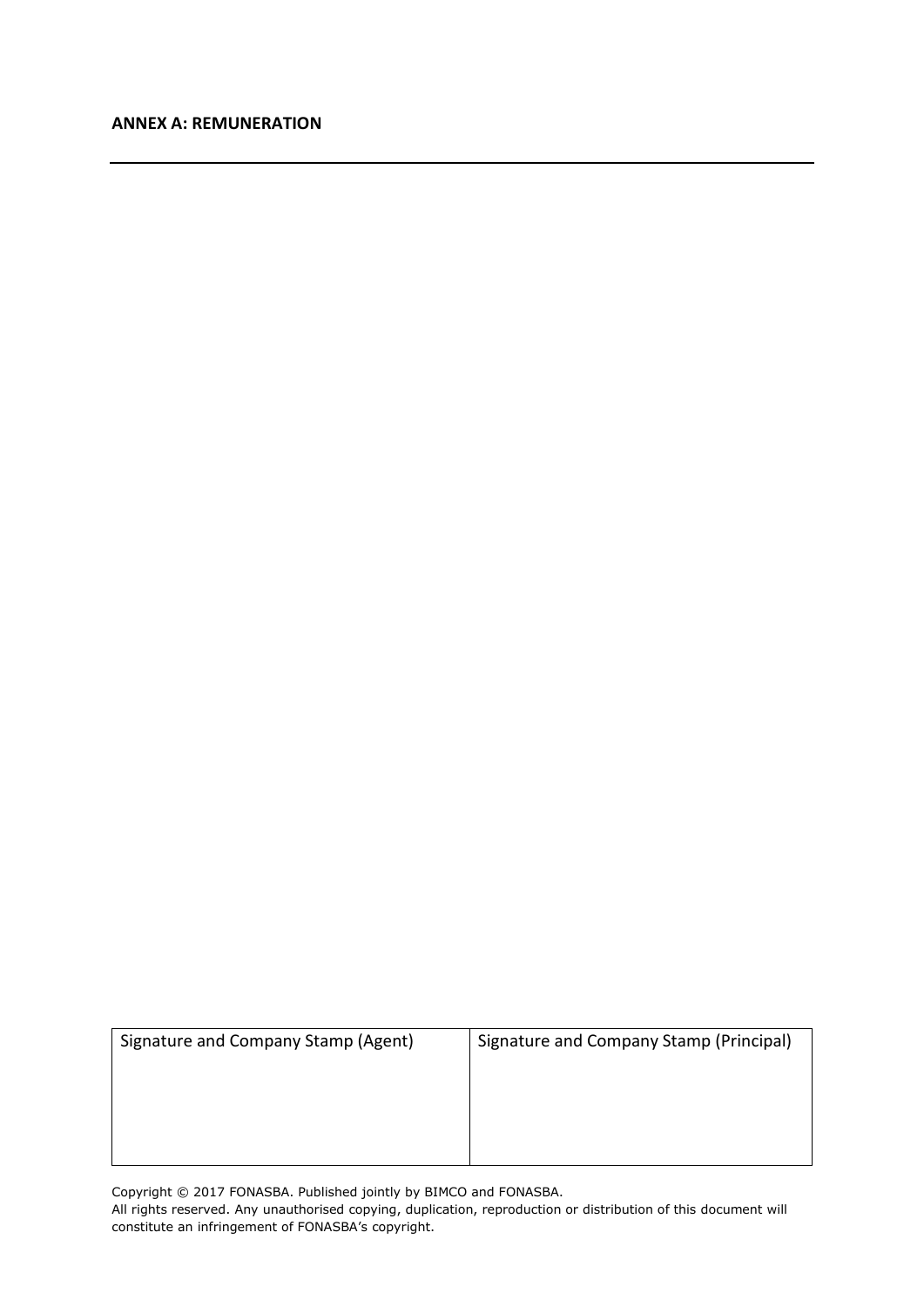#### **ANNEX A: REMUNERATION**

| Signature and Company Stamp (Agent) | Signature and Company Stamp (Principal) |
|-------------------------------------|-----------------------------------------|
|                                     |                                         |
|                                     |                                         |
|                                     |                                         |
|                                     |                                         |

Copyright © 2017 FONASBA. Published jointly by BIMCO and FONASBA. All rights reserved. Any unauthorised copying, duplication, reproduction or distribution of this document will constitute an infringement of FONASBA's copyright.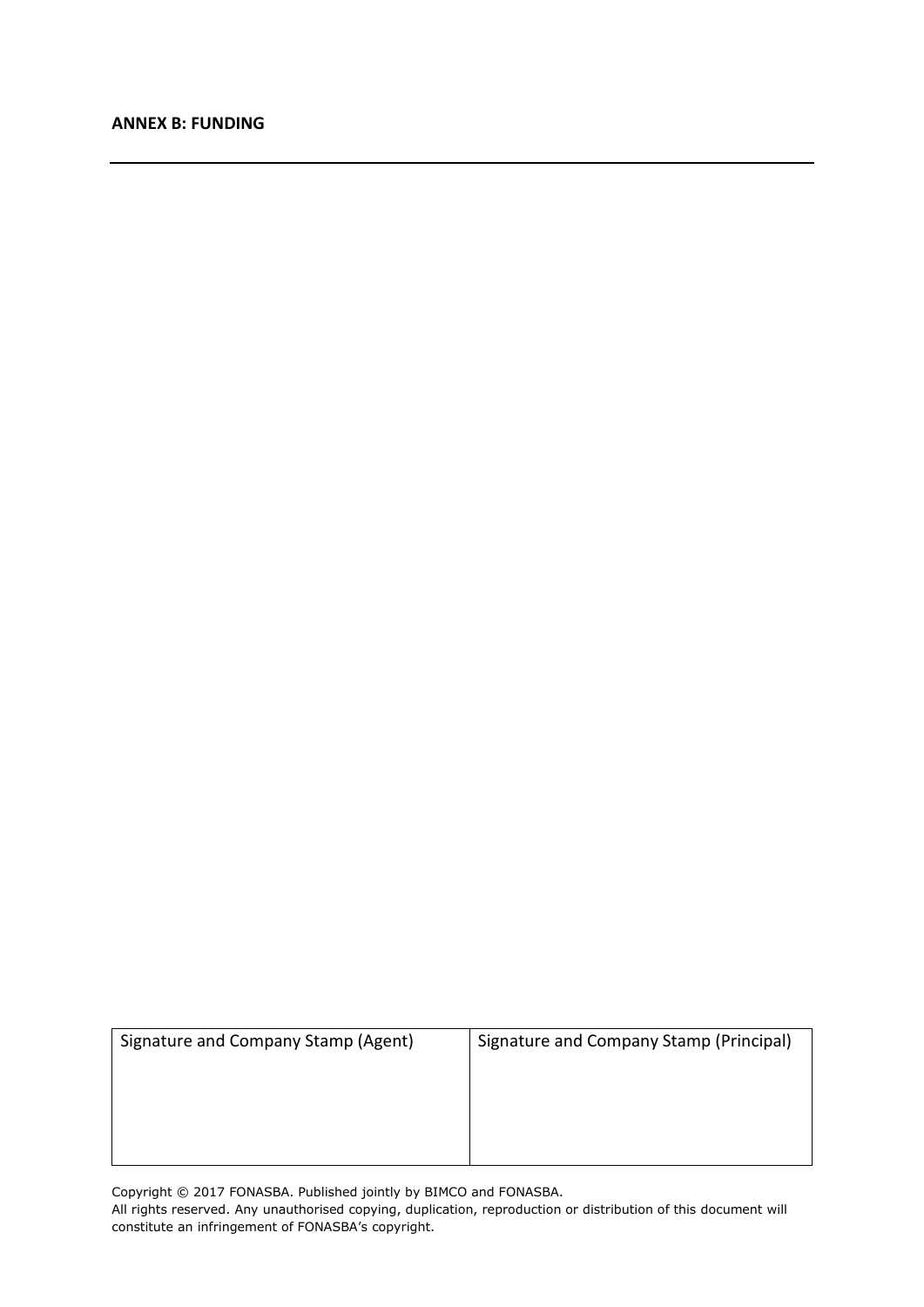#### **ANNEX B: FUNDING**

| Signature and Company Stamp (Agent) | Signature and Company Stamp (Principal) |
|-------------------------------------|-----------------------------------------|
|                                     |                                         |
|                                     |                                         |
|                                     |                                         |

Copyright © 2017 FONASBA. Published jointly by BIMCO and FONASBA. All rights reserved. Any unauthorised copying, duplication, reproduction or distribution of this document will constitute an infringement of FONASBA's copyright.